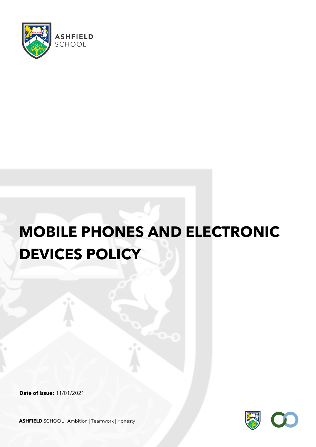

# **MOBILE PHONES AND ELECTRONIC DEVICES POLICY**

**Date of issue:** 11/01/2021



**ASHFIELD** SCHOOL Ambition | Teamwork | Honesty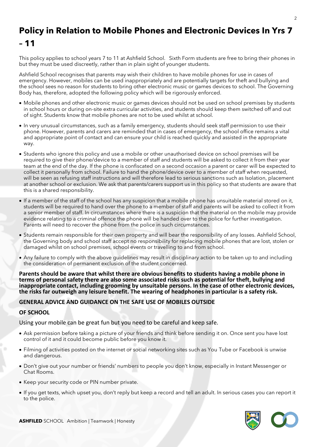# **Policy in Relation to Mobile Phones and Electronic Devices In Yrs 7 – 11**

This policy applies to school years 7 to 11 at Ashfield School. Sixth Form students are free to bring their phones in but they must be used discreetly, rather than in plain sight of younger students.

Ashfield School recognises that parents may wish their children to have mobile phones for use in cases of emergency. However, mobiles can be used inappropriately and are potentially targets for theft and bullying and the school sees no reason for students to bring other electronic music or games devices to school. The Governing Body has, therefore, adopted the following policy which will be rigorously enforced.

- Mobile phones and other electronic music or games devices should not be used on school premises by students in school hours or during on-site extra curricular activities, and students should keep them switched off and out of sight. Students know that mobile phones are not to be used whilst at school.
- In very unusual circumstances, such as a family emergency, students should seek staff permission to use their phone. However, parents and carers are reminded that in cases of emergency, the school office remains a vital and appropriate point of contact and can ensure your child is reached quickly and assisted in the appropriate way.
- Students who ignore this policy and use a mobile or other unauthorised device on school premises will be required to give their phone/device to a member of staff and students will be asked to collect it from their year team at the end of the day. If the phone is confiscated on a second occasion a parent or carer will be expected to collect it personally from school. Failure to hand the phone/device over to a member of staff when requested, will be seen as refusing staff instructions and will therefore lead to serious sanctions such as Isolation, placement at another school or exclusion. We ask that parents/carers support us in this policy so that students are aware that this is a shared responsibility.
- If a member of the staff of the school has any suspicion that a mobile phone has unsuitable material stored on it, students will be required to hand over the phone to a member of staff and parents will be asked to collect it from a senior member of staff. In circumstances where there is a suspicion that the material on the mobile may provide evidence relating to a criminal offence the phone will be handed over to the police for further investigation. Parents will need to recover the phone from the police in such circumstances.
- Students remain responsible for their own property and will bear the responsibility of any losses. Ashfield School, the Governing body and school staff accept no responsibility for replacing mobile phones that are lost, stolen or damaged whilst on school premises, school events or travelling to and from school.
- Any failure to comply with the above guidelines may result in disciplinary action to be taken up to and including the consideration of permanent exclusion of the student concerned.

**Parents should be aware that whilst there are obvious benefits to students having a mobile phone in terms of personal safety there are also some associated risks such as potential for theft, bullying and inappropriate contact, including grooming by unsuitable persons. In the case of other electronic devices, the risks far outweigh any leisure benefit. The wearing of headphones in particular is a safety risk.** 

#### **GENERAL ADVICE AND GUIDANCE ON THE SAFE USE OF MOBILES OUTSIDE**

#### **OF SCHOOL**

Using your mobile can be great fun but you need to be careful and keep safe.

- Ask permission before taking a picture of your friends and think before sending it on. Once sent you have lost control of it and it could become public before you know it.
- Filming of activities posted on the internet or social networking sites such as You Tube or Facebook is unwise and dangerous.
- Don't give out your number or friends' numbers to people you don't know, especially in Instant Messenger or Chat Rooms.
- Keep your security code or PIN number private.
- If you get texts, which upset you, don't reply but keep a record and tell an adult. In serious cases you can report it to the police.